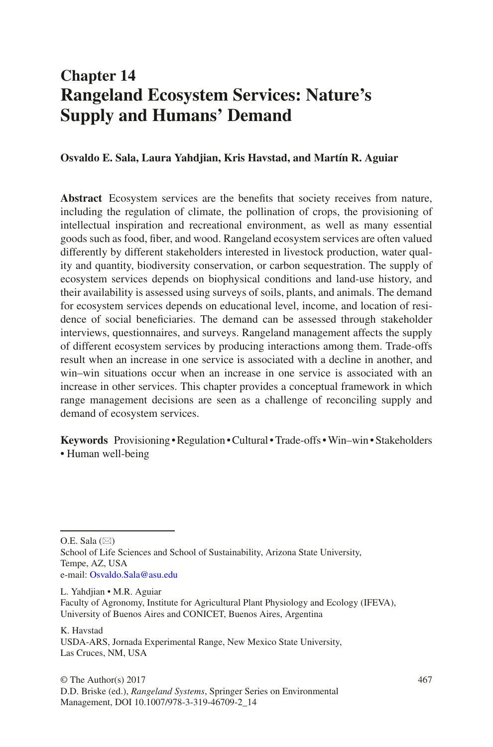# **Chapter 14 Rangeland Ecosystem Services: Nature's Supply and Humans' Demand**

**Osvaldo E. Sala, Laura Yahdjian, Kris Havstad, and Martín R. Aguiar**

**Abstract** Ecosystem services are the benefits that society receives from nature, including the regulation of climate, the pollination of crops, the provisioning of intellectual inspiration and recreational environment, as well as many essential goods such as food, fiber, and wood. Rangeland ecosystem services are often valued differently by different stakeholders interested in livestock production, water quality and quantity, biodiversity conservation, or carbon sequestration. The supply of ecosystem services depends on biophysical conditions and land-use history, and their availability is assessed using surveys of soils, plants, and animals. The demand for ecosystem services depends on educational level, income, and location of residence of social beneficiaries. The demand can be assessed through stakeholder interviews, questionnaires, and surveys. Rangeland management affects the supply of different ecosystem services by producing interactions among them. Trade-offs result when an increase in one service is associated with a decline in another, and win–win situations occur when an increase in one service is associated with an increase in other services. This chapter provides a conceptual framework in which range management decisions are seen as a challenge of reconciling supply and demand of ecosystem services.

**Keywords** Provisioning • Regulation • Cultural • Trade-offs • Win–win • Stakeholders • Human well-being

O.E. Sala  $(\boxtimes)$ 

School of Life Sciences and School of Sustainability, Arizona State University, Tempe, AZ, USA e-mail: [Osvaldo.Sala@asu.edu](mailto:Osvaldo.Sala@asu.edu)

L. Yahdjian • M.R. Aguiar Faculty of Agronomy, Institute for Agricultural Plant Physiology and Ecology (IFEVA), University of Buenos Aires and CONICET, Buenos Aires, Argentina

K. Havstad USDA-ARS, Jornada Experimental Range, New Mexico State University, Las Cruces, NM, USA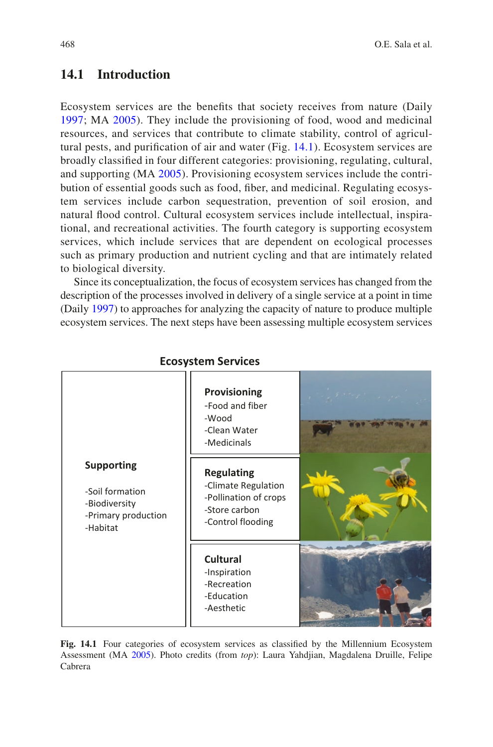### **14.1 Introduction**

Ecosystem services are the benefits that society receives from nature (Daily [1997;](#page-19-0) MA [2005\)](#page-20-0). They include the provisioning of food, wood and medicinal resources, and services that contribute to climate stability, control of agricultural pests, and purification of air and water (Fig. [14.1\)](#page-1-0). Ecosystem services are broadly classified in four different categories: provisioning, regulating, cultural, and supporting (MA [2005](#page-20-0)). Provisioning ecosystem services include the contribution of essential goods such as food, fiber, and medicinal. Regulating ecosystem services include carbon sequestration, prevention of soil erosion, and natural flood control. Cultural ecosystem services include intellectual, inspirational, and recreational activities. The fourth category is supporting ecosystem services, which include services that are dependent on ecological processes such as primary production and nutrient cycling and that are intimately related to biological diversity.

Since its conceptualization, the focus of ecosystem services has changed from the description of the processes involved in delivery of a single service at a point in time (Daily [1997\)](#page-19-0) to approaches for analyzing the capacity of nature to produce multiple ecosystem services. The next steps have been assessing multiple ecosystem services

<span id="page-1-0"></span>

**Ecosystem Services**

**Fig. 14.1** Four categories of ecosystem services as classified by the Millennium Ecosystem Assessment (MA [2005](#page-20-0)). Photo credits (from *top*): Laura Yahdjian, Magdalena Druille, Felipe Cabrera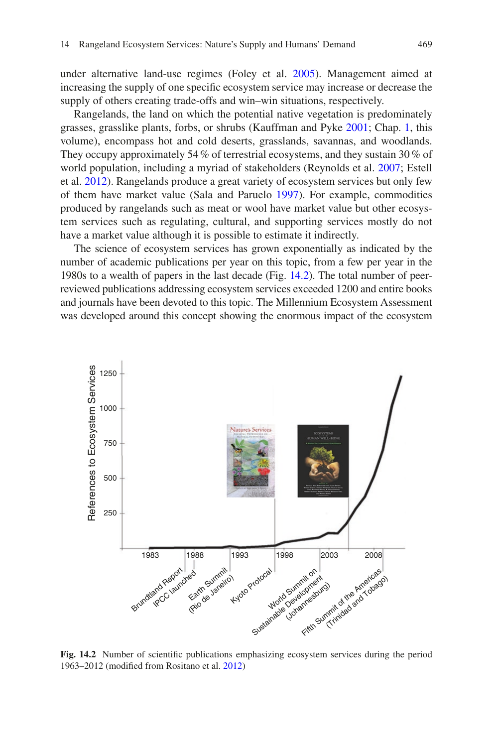under alternative land-use regimes (Foley et al. [2005](#page-20-1)). Management aimed at increasing the supply of one specific ecosystem service may increase or decrease the supply of others creating trade-offs and win–win situations, respectively.

Rangelands, the land on which the potential native vegetation is predominately grasses, grasslike plants, forbs, or shrubs (Kauffman and Pyke [2001;](#page-20-2) Chap. [1,](http://dx.doi.org/10.1007/978-3-319-46709-2_1) this volume), encompass hot and cold deserts, grasslands, savannas, and woodlands. They occupy approximately 54% of terrestrial ecosystems, and they sustain 30% of world population, including a myriad of stakeholders (Reynolds et al. [2007](#page-21-0); Estell et al. [2012\)](#page-20-3). Rangelands produce a great variety of ecosystem services but only few of them have market value (Sala and Paruelo [1997](#page-21-1)). For example, commodities produced by rangelands such as meat or wool have market value but other ecosystem services such as regulating, cultural, and supporting services mostly do not have a market value although it is possible to estimate it indirectly.

The science of ecosystem services has grown exponentially as indicated by the number of academic publications per year on this topic, from a few per year in the 1980s to a wealth of papers in the last decade (Fig. [14.2](#page-2-0)). The total number of peerreviewed publications addressing ecosystem services exceeded 1200 and entire books and journals have been devoted to this topic. The Millennium Ecosystem Assessment was developed around this concept showing the enormous impact of the ecosystem

<span id="page-2-0"></span>

**Fig. 14.2** Number of scientific publications emphasizing ecosystem services during the period 1963–2012 (modified from Rositano et al. [2012](#page-21-2))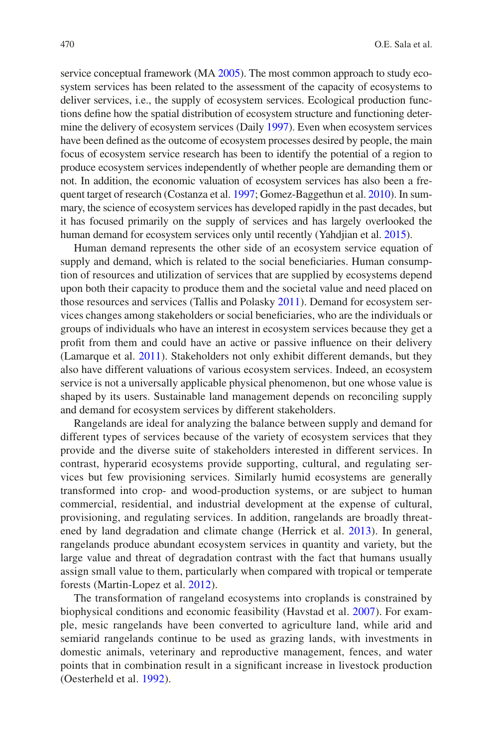service conceptual framework (MA [2005](#page-20-0)). The most common approach to study ecosystem services has been related to the assessment of the capacity of ecosystems to deliver services, i.e., the supply of ecosystem services. Ecological production functions define how the spatial distribution of ecosystem structure and functioning determine the delivery of ecosystem services (Daily [1997](#page-19-0)). Even when ecosystem services have been defined as the outcome of ecosystem processes desired by people, the main focus of ecosystem service research has been to identify the potential of a region to produce ecosystem services independently of whether people are demanding them or not. In addition, the economic valuation of ecosystem services has also been a frequent target of research (Costanza et al. [1997](#page-19-1); Gomez-Baggethun et al. [2010](#page-20-4)). In summary, the science of ecosystem services has developed rapidly in the past decades, but it has focused primarily on the supply of services and has largely overlooked the human demand for ecosystem services only until recently (Yahdjian et al. [2015](#page-22-0)).

Human demand represents the other side of an ecosystem service equation of supply and demand, which is related to the social beneficiaries. Human consumption of resources and utilization of services that are supplied by ecosystems depend upon both their capacity to produce them and the societal value and need placed on those resources and services (Tallis and Polasky [2011\)](#page-21-3). Demand for ecosystem services changes among stakeholders or social beneficiaries, who are the individuals or groups of individuals who have an interest in ecosystem services because they get a profit from them and could have an active or passive influence on their delivery (Lamarque et al. [2011\)](#page-20-5). Stakeholders not only exhibit different demands, but they also have different valuations of various ecosystem services. Indeed, an ecosystem service is not a universally applicable physical phenomenon, but one whose value is shaped by its users. Sustainable land management depends on reconciling supply and demand for ecosystem services by different stakeholders.

Rangelands are ideal for analyzing the balance between supply and demand for different types of services because of the variety of ecosystem services that they provide and the diverse suite of stakeholders interested in different services. In contrast, hyperarid ecosystems provide supporting, cultural, and regulating services but few provisioning services. Similarly humid ecosystems are generally transformed into crop- and wood-production systems, or are subject to human commercial, residential, and industrial development at the expense of cultural, provisioning, and regulating services. In addition, rangelands are broadly threatened by land degradation and climate change (Herrick et al. [2013](#page-20-6)). In general, rangelands produce abundant ecosystem services in quantity and variety, but the large value and threat of degradation contrast with the fact that humans usually assign small value to them, particularly when compared with tropical or temperate forests (Martin-Lopez et al. [2012](#page-20-7)).

The transformation of rangeland ecosystems into croplands is constrained by biophysical conditions and economic feasibility (Havstad et al. [2007\)](#page-20-8). For example, mesic rangelands have been converted to agriculture land, while arid and semiarid rangelands continue to be used as grazing lands, with investments in domestic animals, veterinary and reproductive management, fences, and water points that in combination result in a significant increase in livestock production (Oesterheld et al. [1992\)](#page-20-9).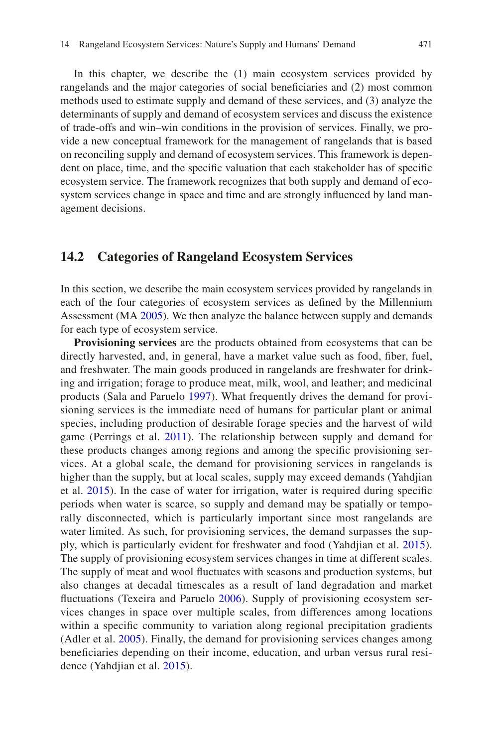In this chapter, we describe the (1) main ecosystem services provided by rangelands and the major categories of social beneficiaries and (2) most common methods used to estimate supply and demand of these services, and (3) analyze the determinants of supply and demand of ecosystem services and discuss the existence of trade-offs and win–win conditions in the provision of services. Finally, we provide a new conceptual framework for the management of rangelands that is based on reconciling supply and demand of ecosystem services. This framework is dependent on place, time, and the specific valuation that each stakeholder has of specific ecosystem service. The framework recognizes that both supply and demand of ecosystem services change in space and time and are strongly influenced by land management decisions.

### **14.2 Categories of Rangeland Ecosystem Services**

In this section, we describe the main ecosystem services provided by rangelands in each of the four categories of ecosystem services as defined by the Millennium Assessment (MA [2005](#page-20-0)). We then analyze the balance between supply and demands for each type of ecosystem service.

**Provisioning services** are the products obtained from ecosystems that can be directly harvested, and, in general, have a market value such as food, fiber, fuel, and freshwater. The main goods produced in rangelands are freshwater for drinking and irrigation; forage to produce meat, milk, wool, and leather; and medicinal products (Sala and Paruelo [1997](#page-21-1)). What frequently drives the demand for provisioning services is the immediate need of humans for particular plant or animal species, including production of desirable forage species and the harvest of wild game (Perrings et al. [2011](#page-21-4)). The relationship between supply and demand for these products changes among regions and among the specific provisioning services. At a global scale, the demand for provisioning services in rangelands is higher than the supply, but at local scales, supply may exceed demands (Yahdjian et al. [2015\)](#page-22-0). In the case of water for irrigation, water is required during specific periods when water is scarce, so supply and demand may be spatially or temporally disconnected, which is particularly important since most rangelands are water limited. As such, for provisioning services, the demand surpasses the supply, which is particularly evident for freshwater and food (Yahdjian et al. [2015\)](#page-22-0). The supply of provisioning ecosystem services changes in time at different scales. The supply of meat and wool fluctuates with seasons and production systems, but also changes at decadal timescales as a result of land degradation and market fluctuations (Texeira and Paruelo [2006](#page-21-5)). Supply of provisioning ecosystem services changes in space over multiple scales, from differences among locations within a specific community to variation along regional precipitation gradients (Adler et al. [2005](#page-19-2)). Finally, the demand for provisioning services changes among beneficiaries depending on their income, education, and urban versus rural residence (Yahdjian et al. [2015\)](#page-22-0).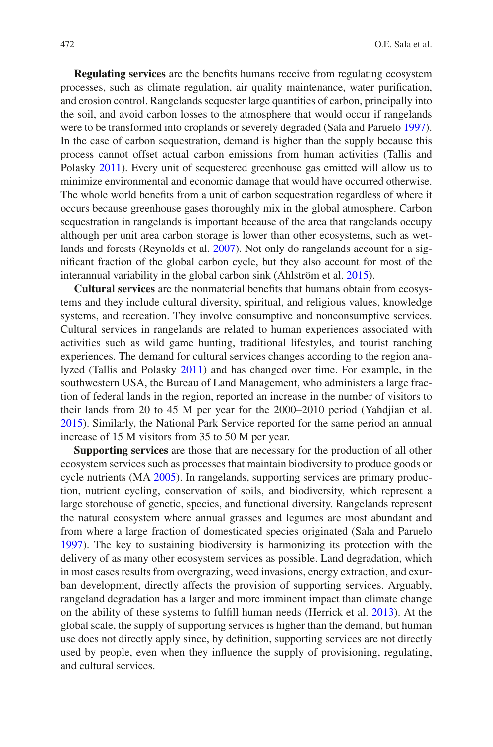**Regulating services** are the benefits humans receive from regulating ecosystem processes, such as climate regulation, air quality maintenance, water purification, and erosion control. Rangelands sequester large quantities of carbon, principally into the soil, and avoid carbon losses to the atmosphere that would occur if rangelands were to be transformed into croplands or severely degraded (Sala and Paruelo [1997\)](#page-21-1). In the case of carbon sequestration, demand is higher than the supply because this process cannot offset actual carbon emissions from human activities (Tallis and Polasky [2011](#page-21-3)). Every unit of sequestered greenhouse gas emitted will allow us to minimize environmental and economic damage that would have occurred otherwise. The whole world benefits from a unit of carbon sequestration regardless of where it occurs because greenhouse gases thoroughly mix in the global atmosphere. Carbon sequestration in rangelands is important because of the area that rangelands occupy although per unit area carbon storage is lower than other ecosystems, such as wetlands and forests (Reynolds et al. [2007\)](#page-21-0). Not only do rangelands account for a significant fraction of the global carbon cycle, but they also account for most of the interannual variability in the global carbon sink (Ahlström et al. [2015\)](#page-19-3).

**Cultural services** are the nonmaterial benefits that humans obtain from ecosystems and they include cultural diversity, spiritual, and religious values, knowledge systems, and recreation. They involve consumptive and nonconsumptive services. Cultural services in rangelands are related to human experiences associated with activities such as wild game hunting, traditional lifestyles, and tourist ranching experiences. The demand for cultural services changes according to the region analyzed (Tallis and Polasky [2011](#page-21-3)) and has changed over time. For example, in the southwestern USA, the Bureau of Land Management, who administers a large fraction of federal lands in the region, reported an increase in the number of visitors to their lands from 20 to 45 M per year for the 2000–2010 period (Yahdjian et al. [2015\)](#page-22-0). Similarly, the National Park Service reported for the same period an annual increase of 15 M visitors from 35 to 50 M per year.

**Supporting services** are those that are necessary for the production of all other ecosystem services such as processes that maintain biodiversity to produce goods or cycle nutrients (MA [2005](#page-20-0)). In rangelands, supporting services are primary production, nutrient cycling, conservation of soils, and biodiversity, which represent a large storehouse of genetic, species, and functional diversity. Rangelands represent the natural ecosystem where annual grasses and legumes are most abundant and from where a large fraction of domesticated species originated (Sala and Paruelo [1997\)](#page-21-1). The key to sustaining biodiversity is harmonizing its protection with the delivery of as many other ecosystem services as possible. Land degradation, which in most cases results from overgrazing, weed invasions, energy extraction, and exurban development, directly affects the provision of supporting services. Arguably, rangeland degradation has a larger and more imminent impact than climate change on the ability of these systems to fulfill human needs (Herrick et al. [2013\)](#page-20-6). At the global scale, the supply of supporting services is higher than the demand, but human use does not directly apply since, by definition, supporting services are not directly used by people, even when they influence the supply of provisioning, regulating, and cultural services.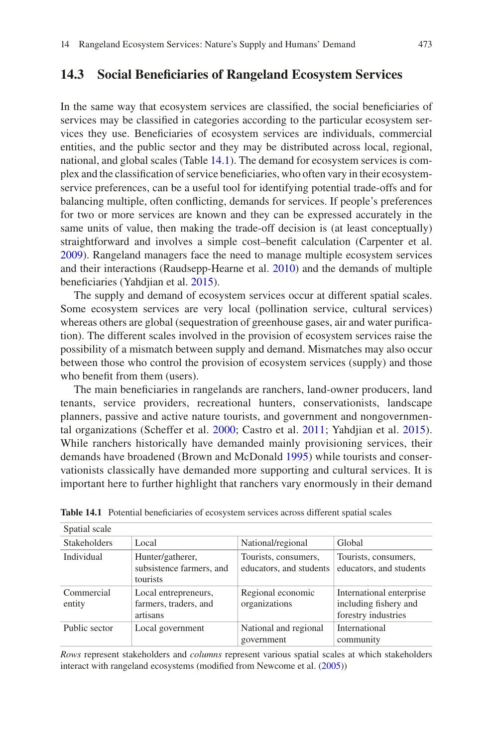#### **14.3 Social Beneficiaries of Rangeland Ecosystem Services**

In the same way that ecosystem services are classified, the social beneficiaries of services may be classified in categories according to the particular ecosystem services they use. Beneficiaries of ecosystem services are individuals, commercial entities, and the public sector and they may be distributed across local, regional, national, and global scales (Table [14.1](#page-6-0)). The demand for ecosystem services is complex and the classification of service beneficiaries, who often vary in their ecosystemservice preferences, can be a useful tool for identifying potential trade-offs and for balancing multiple, often conflicting, demands for services. If people's preferences for two or more services are known and they can be expressed accurately in the same units of value, then making the trade-off decision is (at least conceptually) straightforward and involves a simple cost–benefit calculation (Carpenter et al. [2009\)](#page-19-4). Rangeland managers face the need to manage multiple ecosystem services and their interactions (Raudsepp-Hearne et al. [2010](#page-21-6)) and the demands of multiple beneficiaries (Yahdjian et al. [2015](#page-22-0)).

The supply and demand of ecosystem services occur at different spatial scales. Some ecosystem services are very local (pollination service, cultural services) whereas others are global (sequestration of greenhouse gases, air and water purification). The different scales involved in the provision of ecosystem services raise the possibility of a mismatch between supply and demand. Mismatches may also occur between those who control the provision of ecosystem services (supply) and those who benefit from them (users).

The main beneficiaries in rangelands are ranchers, land-owner producers, land tenants, service providers, recreational hunters, conservationists, landscape planners, passive and active nature tourists, and government and nongovernmental organizations (Scheffer et al. [2000](#page-21-7); Castro et al. [2011](#page-19-5); Yahdjian et al. [2015\)](#page-22-0). While ranchers historically have demanded mainly provisioning services, their demands have broadened (Brown and McDonald [1995](#page-19-6)) while tourists and conservationists classically have demanded more supporting and cultural services. It is important here to further highlight that ranchers vary enormously in their demand

| Spatial scale        |                                                           |                                                 |                                                                          |
|----------------------|-----------------------------------------------------------|-------------------------------------------------|--------------------------------------------------------------------------|
| <b>Stakeholders</b>  | Local                                                     | National/regional                               | Global                                                                   |
| Individual           | Hunter/gatherer,<br>subsistence farmers, and<br>tourists  | Tourists, consumers,<br>educators, and students | Tourists, consumers,<br>educators, and students                          |
| Commercial<br>entity | Local entrepreneurs,<br>farmers, traders, and<br>artisans | Regional economic<br>organizations              | International enterprise<br>including fishery and<br>forestry industries |
| Public sector        | Local government                                          | National and regional<br>government             | International<br>community                                               |

<span id="page-6-0"></span>**Table 14.1** Potential beneficiaries of ecosystem services across different spatial scales

*Rows* represent stakeholders and *columns* represent various spatial scales at which stakeholders interact with rangeland ecosystems (modified from Newcome et al. ([2005\)](#page-20-10))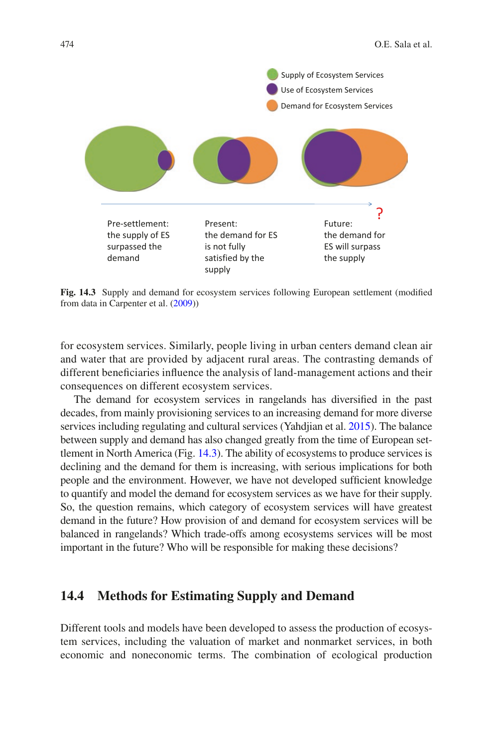<span id="page-7-0"></span>

**Fig. 14.3** Supply and demand for ecosystem services following European settlement (modified from data in Carpenter et al. ([2009\)](#page-19-4))

for ecosystem services. Similarly, people living in urban centers demand clean air and water that are provided by adjacent rural areas. The contrasting demands of different beneficiaries influence the analysis of land-management actions and their consequences on different ecosystem services.

The demand for ecosystem services in rangelands has diversified in the past decades, from mainly provisioning services to an increasing demand for more diverse services including regulating and cultural services (Yahdjian et al. [2015](#page-22-0)). The balance between supply and demand has also changed greatly from the time of European settlement in North America (Fig. [14.3](#page-7-0)). The ability of ecosystems to produce services is declining and the demand for them is increasing, with serious implications for both people and the environment. However, we have not developed sufficient knowledge to quantify and model the demand for ecosystem services as we have for their supply. So, the question remains, which category of ecosystem services will have greatest demand in the future? How provision of and demand for ecosystem services will be balanced in rangelands? Which trade-offs among ecosystems services will be most important in the future? Who will be responsible for making these decisions?

# **14.4 Methods for Estimating Supply and Demand**

Different tools and models have been developed to assess the production of ecosystem services, including the valuation of market and nonmarket services, in both economic and noneconomic terms. The combination of ecological production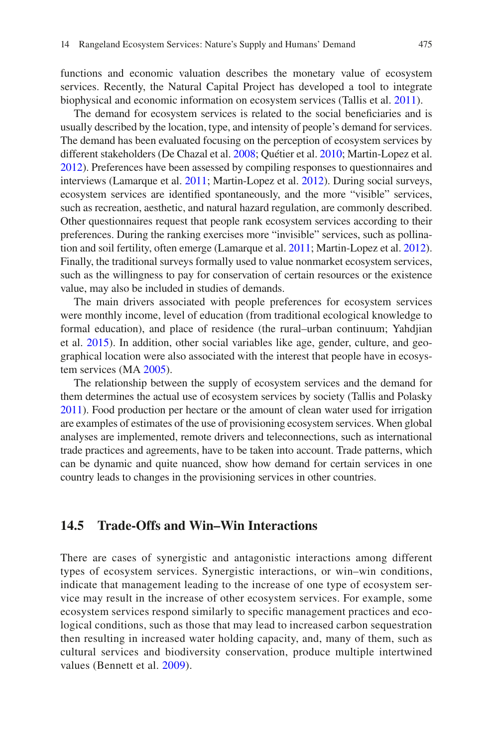functions and economic valuation describes the monetary value of ecosystem services. Recently, the Natural Capital Project has developed a tool to integrate biophysical and economic information on ecosystem services (Tallis et al. [2011\)](#page-21-8).

The demand for ecosystem services is related to the social beneficiaries and is usually described by the location, type, and intensity of people's demand for services. The demand has been evaluated focusing on the perception of ecosystem services by different stakeholders (De Chazal et al. [2008;](#page-19-7) Quétier et al. [2010;](#page-21-9) Martin-Lopez et al. [2012\)](#page-20-7). Preferences have been assessed by compiling responses to questionnaires and interviews (Lamarque et al. [2011;](#page-20-5) Martin-Lopez et al. [2012\)](#page-20-7). During social surveys, ecosystem services are identified spontaneously, and the more "visible" services, such as recreation, aesthetic, and natural hazard regulation, are commonly described. Other questionnaires request that people rank ecosystem services according to their preferences. During the ranking exercises more "invisible" services, such as pollination and soil fertility, often emerge (Lamarque et al. [2011](#page-20-5); Martin-Lopez et al. [2012\)](#page-20-7). Finally, the traditional surveys formally used to value nonmarket ecosystem services, such as the willingness to pay for conservation of certain resources or the existence value, may also be included in studies of demands.

The main drivers associated with people preferences for ecosystem services were monthly income, level of education (from traditional ecological knowledge to formal education), and place of residence (the rural–urban continuum; Yahdjian et al. [2015](#page-22-0)). In addition, other social variables like age, gender, culture, and geographical location were also associated with the interest that people have in ecosystem services (MA [2005](#page-20-0)).

The relationship between the supply of ecosystem services and the demand for them determines the actual use of ecosystem services by society (Tallis and Polasky [2011\)](#page-21-3). Food production per hectare or the amount of clean water used for irrigation are examples of estimates of the use of provisioning ecosystem services. When global analyses are implemented, remote drivers and teleconnections, such as international trade practices and agreements, have to be taken into account. Trade patterns, which can be dynamic and quite nuanced, show how demand for certain services in one country leads to changes in the provisioning services in other countries.

#### **14.5 Trade-Offs and Win–Win Interactions**

There are cases of synergistic and antagonistic interactions among different types of ecosystem services. Synergistic interactions, or win–win conditions, indicate that management leading to the increase of one type of ecosystem service may result in the increase of other ecosystem services. For example, some ecosystem services respond similarly to specific management practices and ecological conditions, such as those that may lead to increased carbon sequestration then resulting in increased water holding capacity, and, many of them, such as cultural services and biodiversity conservation, produce multiple intertwined values (Bennett et al. [2009](#page-19-8)).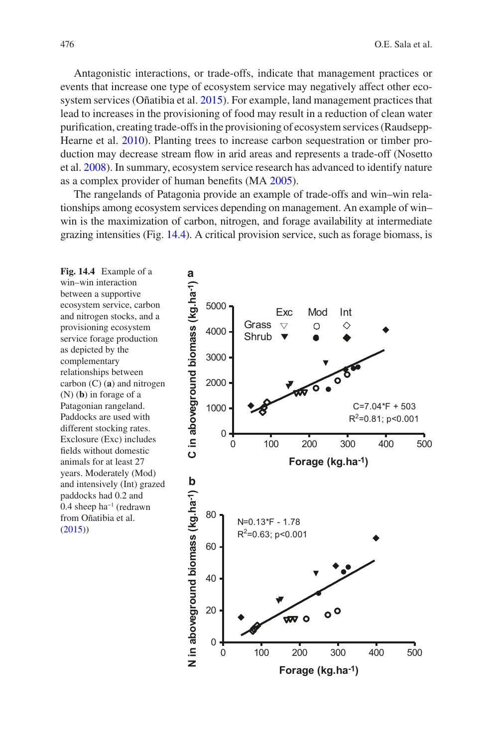Antagonistic interactions, or trade-offs, indicate that management practices or events that increase one type of ecosystem service may negatively affect other ecosystem services (Oñatibia et al. [2015\)](#page-21-10). For example, land management practices that lead to increases in the provisioning of food may result in a reduction of clean water purification, creating trade-offs in the provisioning of ecosystem services (Raudsepp-Hearne et al. [2010\)](#page-21-6). Planting trees to increase carbon sequestration or timber production may decrease stream flow in arid areas and represents a trade-off (Nosetto et al. [2008\)](#page-20-11). In summary, ecosystem service research has advanced to identify nature as a complex provider of human benefits (MA [2005\)](#page-20-0).

The rangelands of Patagonia provide an example of trade-offs and win–win relationships among ecosystem services depending on management. An example of win– win is the maximization of carbon, nitrogen, and forage availability at intermediate grazing intensities (Fig. [14.4\)](#page-9-0). A critical provision service, such as forage biomass, is

<span id="page-9-0"></span>**Fig. 14.4** Example of a win–win interaction between a supportive ecosystem service, carbon and nitrogen stocks, and a provisioning ecosystem service forage production as depicted by the complementary relationships between carbon (C) (**a**) and nitrogen (N) (**b**) in forage of a Patagonian rangeland. Paddocks are used with different stocking rates. Exclosure (Exc) includes fields without domestic animals for at least 27 years. Moderately (Mod) and intensively (Int) grazed paddocks had 0.2 and 0.4 sheep ha−1 (redrawn from Oñatibia et al. ([2015\)](#page-21-10))

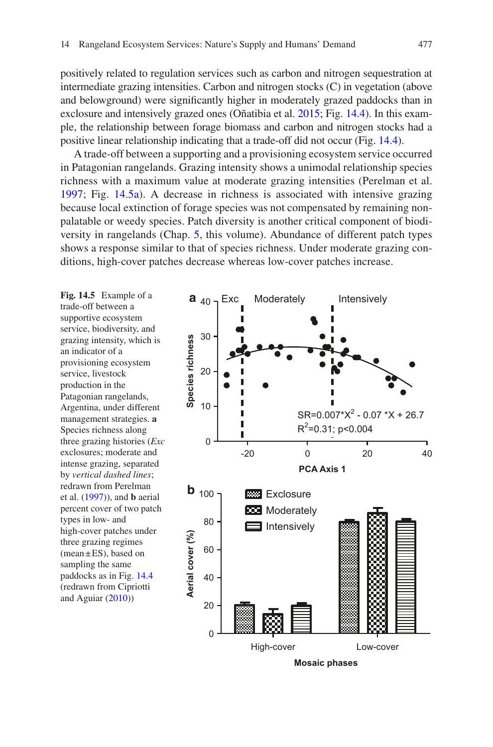positively related to regulation services such as carbon and nitrogen sequestration at intermediate grazing intensities. Carbon and nitrogen stocks (C) in vegetation (above and belowground) were significantly higher in moderately grazed paddocks than in exclosure and intensively grazed ones (Oñatibia et al. [2015](#page-21-10); Fig. [14.4\)](#page-9-0). In this example, the relationship between forage biomass and carbon and nitrogen stocks had a positive linear relationship indicating that a trade-off did not occur (Fig. [14.4\)](#page-9-0).

A trade-off between a supporting and a provisioning ecosystem service occurred in Patagonian rangelands. Grazing intensity shows a unimodal relationship species richness with a maximum value at moderate grazing intensities (Perelman et al. [1997](#page-21-11); Fig. [14.5a\)](#page-10-0). A decrease in richness is associated with intensive grazing because local extinction of forage species was not compensated by remaining nonpalatable or weedy species. Patch diversity is another critical component of biodiversity in rangelands (Chap. [5,](http://dx.doi.org/10.1007/978-3-319-46709-2_5) this volume). Abundance of different patch types shows a response similar to that of species richness. Under moderate grazing conditions, high-cover patches decrease whereas low-cover patches increase.

<span id="page-10-0"></span>**Fig. 14.5** Example of a trade-off between a supportive ecosystem service, biodiversity, and grazing intensity, which is an indicator of a provisioning ecosystem service, livestock production in the Patagonian rangelands, Argentina, under different management strategies. **a** Species richness along three grazing histories (*Exc* exclosures; moderate and intense grazing, separated by *vertical dashed lines*; redrawn from Perelman et al. [\(1997](#page-21-11))), and **b** aerial percent cover of two patch types in low- and high-cover patches under three grazing regimes  $(mean \pm ES)$ , based on sampling the same paddocks as in Fig. [14.4](#page-9-0) (redrawn from Cipriotti and Aguiar ([2010\)](#page-19-9))



**Mosaic phases**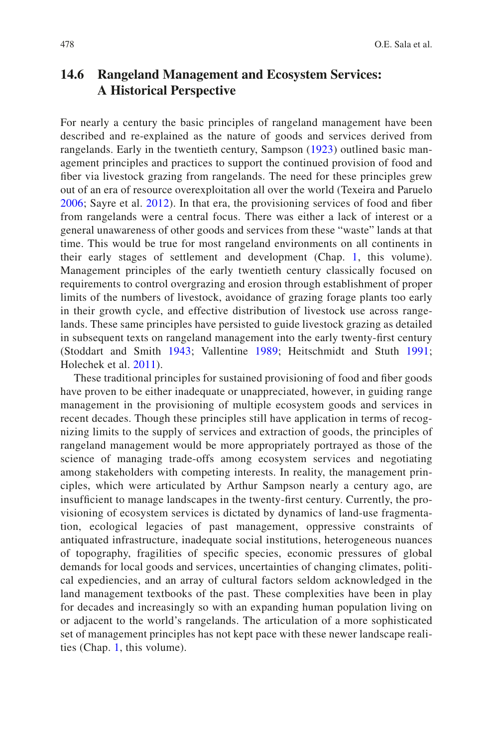# **14.6 Rangeland Management and Ecosystem Services: A Historical Perspective**

For nearly a century the basic principles of rangeland management have been described and re-explained as the nature of goods and services derived from rangelands. Early in the twentieth century, Sampson ([1923](#page-21-12)) outlined basic management principles and practices to support the continued provision of food and fiber via livestock grazing from rangelands. The need for these principles grew out of an era of resource overexploitation all over the world (Texeira and Paruelo [2006](#page-21-5); Sayre et al. [2012\)](#page-21-13). In that era, the provisioning services of food and fiber from rangelands were a central focus. There was either a lack of interest or a general unawareness of other goods and services from these "waste" lands at that time. This would be true for most rangeland environments on all continents in their early stages of settlement and development (Chap. [1](http://dx.doi.org/10.1007/978-3-319-46709-2_1), this volume). Management principles of the early twentieth century classically focused on requirements to control overgrazing and erosion through establishment of proper limits of the numbers of livestock, avoidance of grazing forage plants too early in their growth cycle, and effective distribution of livestock use across rangelands. These same principles have persisted to guide livestock grazing as detailed in subsequent texts on rangeland management into the early twenty-first century (Stoddart and Smith [1943](#page-21-14); Vallentine [1989;](#page-21-15) Heitschmidt and Stuth [1991;](#page-20-12) Holechek et al. [2011](#page-20-13)).

These traditional principles for sustained provisioning of food and fiber goods have proven to be either inadequate or unappreciated, however, in guiding range management in the provisioning of multiple ecosystem goods and services in recent decades. Though these principles still have application in terms of recognizing limits to the supply of services and extraction of goods, the principles of rangeland management would be more appropriately portrayed as those of the science of managing trade-offs among ecosystem services and negotiating among stakeholders with competing interests. In reality, the management principles, which were articulated by Arthur Sampson nearly a century ago, are insufficient to manage landscapes in the twenty-first century. Currently, the provisioning of ecosystem services is dictated by dynamics of land-use fragmentation, ecological legacies of past management, oppressive constraints of antiquated infrastructure, inadequate social institutions, heterogeneous nuances of topography, fragilities of specific species, economic pressures of global demands for local goods and services, uncertainties of changing climates, political expediencies, and an array of cultural factors seldom acknowledged in the land management textbooks of the past. These complexities have been in play for decades and increasingly so with an expanding human population living on or adjacent to the world's rangelands. The articulation of a more sophisticated set of management principles has not kept pace with these newer landscape realities (Chap. [1,](http://dx.doi.org/10.1007/978-3-319-46709-2_1) this volume).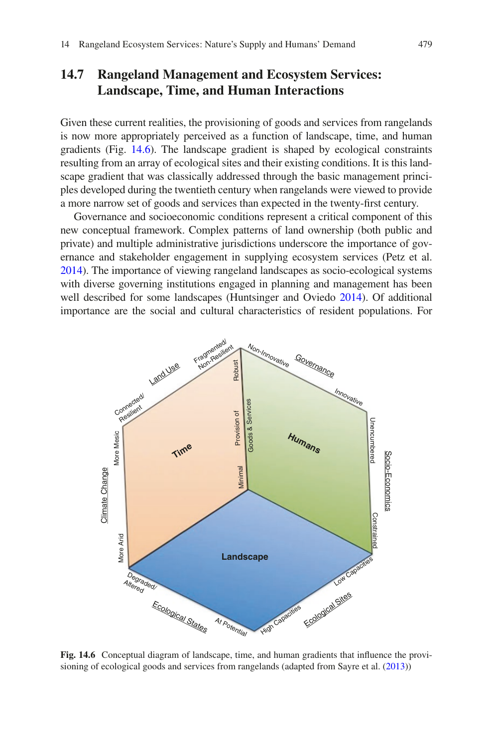# **14.7 Rangeland Management and Ecosystem Services: Landscape, Time, and Human Interactions**

Given these current realities, the provisioning of goods and services from rangelands is now more appropriately perceived as a function of landscape, time, and human gradients (Fig. [14.6](#page-12-0)). The landscape gradient is shaped by ecological constraints resulting from an array of ecological sites and their existing conditions. It is this landscape gradient that was classically addressed through the basic management principles developed during the twentieth century when rangelands were viewed to provide a more narrow set of goods and services than expected in the twenty-first century.

Governance and socioeconomic conditions represent a critical component of this new conceptual framework. Complex patterns of land ownership (both public and private) and multiple administrative jurisdictions underscore the importance of governance and stakeholder engagement in supplying ecosystem services (Petz et al. [2014\)](#page-21-16). The importance of viewing rangeland landscapes as socio-ecological systems with diverse governing institutions engaged in planning and management has been well described for some landscapes (Huntsinger and Oviedo [2014\)](#page-20-14). Of additional importance are the social and cultural characteristics of resident populations. For

<span id="page-12-0"></span>

**Fig. 14.6** Conceptual diagram of landscape, time, and human gradients that influence the provi-sioning of ecological goods and services from rangelands (adapted from Sayre et al. [\(2013](#page-21-17)))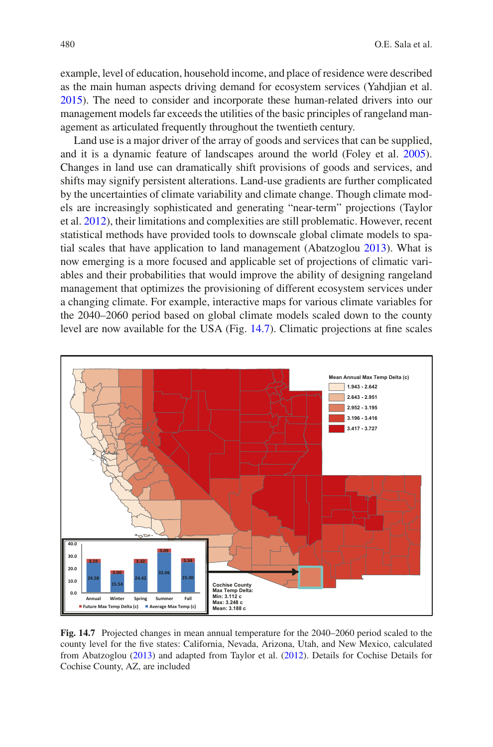example, level of education, household income, and place of residence were described as the main human aspects driving demand for ecosystem services (Yahdjian et al. [2015\)](#page-22-0). The need to consider and incorporate these human-related drivers into our management models far exceeds the utilities of the basic principles of rangeland management as articulated frequently throughout the twentieth century.

Land use is a major driver of the array of goods and services that can be supplied, and it is a dynamic feature of landscapes around the world (Foley et al. [2005\)](#page-20-1). Changes in land use can dramatically shift provisions of goods and services, and shifts may signify persistent alterations. Land-use gradients are further complicated by the uncertainties of climate variability and climate change. Though climate models are increasingly sophisticated and generating "near-term" projections (Taylor et al. [2012\)](#page-21-18), their limitations and complexities are still problematic. However, recent statistical methods have provided tools to downscale global climate models to spatial scales that have application to land management (Abatzoglou [2013\)](#page-19-10). What is now emerging is a more focused and applicable set of projections of climatic variables and their probabilities that would improve the ability of designing rangeland management that optimizes the provisioning of different ecosystem services under a changing climate. For example, interactive maps for various climate variables for the 2040–2060 period based on global climate models scaled down to the county level are now available for the USA (Fig. [14.7\)](#page-13-0). Climatic projections at fine scales

<span id="page-13-0"></span>

**Fig. 14.7** Projected changes in mean annual temperature for the 2040–2060 period scaled to the county level for the five states: California, Nevada, Arizona, Utah, and New Mexico, calculated from Abatzoglou ([2013\)](#page-19-10) and adapted from Taylor et al. ([2012\)](#page-21-18). Details for Cochise Details for Cochise County, AZ, are included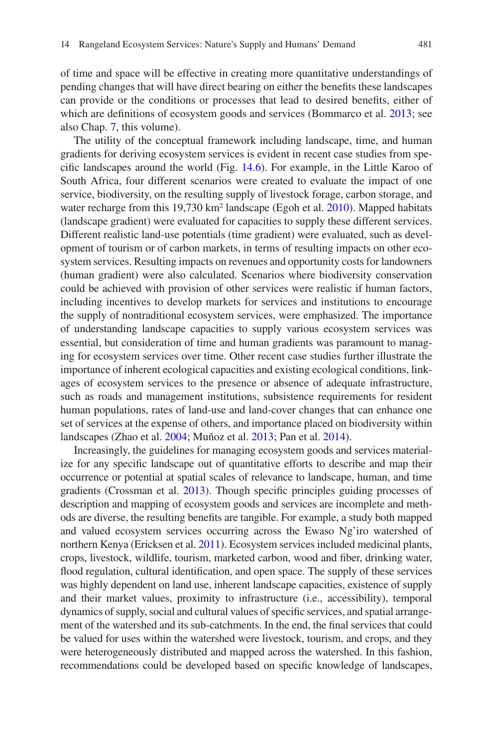of time and space will be effective in creating more quantitative understandings of pending changes that will have direct bearing on either the benefits these landscapes can provide or the conditions or processes that lead to desired benefits, either of which are definitions of ecosystem goods and services (Bommarco et al. [2013](#page-19-11); see also Chap. [7,](http://dx.doi.org/10.1007/978-3-319-46709-2_7) this volume).

The utility of the conceptual framework including landscape, time, and human gradients for deriving ecosystem services is evident in recent case studies from specific landscapes around the world (Fig. [14.6\)](#page-12-0). For example, in the Little Karoo of South Africa, four different scenarios were created to evaluate the impact of one service, biodiversity, on the resulting supply of livestock forage, carbon storage, and water recharge from this 19,730 km<sup>2</sup> landscape (Egoh et al. [2010](#page-19-12)). Mapped habitats (landscape gradient) were evaluated for capacities to supply these different services. Different realistic land-use potentials (time gradient) were evaluated, such as development of tourism or of carbon markets, in terms of resulting impacts on other ecosystem services. Resulting impacts on revenues and opportunity costs for landowners (human gradient) were also calculated. Scenarios where biodiversity conservation could be achieved with provision of other services were realistic if human factors, including incentives to develop markets for services and institutions to encourage the supply of nontraditional ecosystem services, were emphasized. The importance of understanding landscape capacities to supply various ecosystem services was essential, but consideration of time and human gradients was paramount to managing for ecosystem services over time. Other recent case studies further illustrate the importance of inherent ecological capacities and existing ecological conditions, linkages of ecosystem services to the presence or absence of adequate infrastructure, such as roads and management institutions, subsistence requirements for resident human populations, rates of land-use and land-cover changes that can enhance one set of services at the expense of others, and importance placed on biodiversity within landscapes (Zhao et al. [2004;](#page-22-1) Muñoz et al. [2013](#page-20-15); Pan et al. [2014](#page-21-19)).

Increasingly, the guidelines for managing ecosystem goods and services materialize for any specific landscape out of quantitative efforts to describe and map their occurrence or potential at spatial scales of relevance to landscape, human, and time gradients (Crossman et al. [2013](#page-19-13)). Though specific principles guiding processes of description and mapping of ecosystem goods and services are incomplete and methods are diverse, the resulting benefits are tangible. For example, a study both mapped and valued ecosystem services occurring across the Ewaso Ng'iro watershed of northern Kenya (Ericksen et al. [2011\)](#page-20-16). Ecosystem services included medicinal plants, crops, livestock, wildlife, tourism, marketed carbon, wood and fiber, drinking water, flood regulation, cultural identification, and open space. The supply of these services was highly dependent on land use, inherent landscape capacities, existence of supply and their market values, proximity to infrastructure (i.e., accessibility), temporal dynamics of supply, social and cultural values of specific services, and spatial arrangement of the watershed and its sub-catchments. In the end, the final services that could be valued for uses within the watershed were livestock, tourism, and crops, and they were heterogeneously distributed and mapped across the watershed. In this fashion, recommendations could be developed based on specific knowledge of landscapes,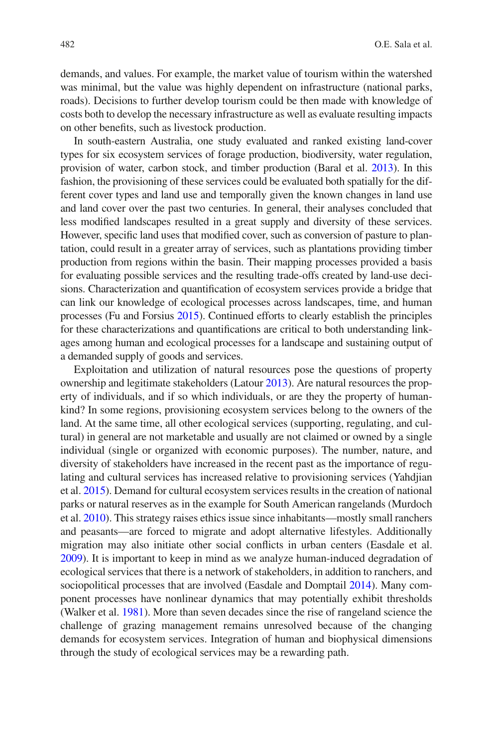demands, and values. For example, the market value of tourism within the watershed was minimal, but the value was highly dependent on infrastructure (national parks, roads). Decisions to further develop tourism could be then made with knowledge of costs both to develop the necessary infrastructure as well as evaluate resulting impacts on other benefits, such as livestock production.

In south-eastern Australia, one study evaluated and ranked existing land-cover types for six ecosystem services of forage production, biodiversity, water regulation, provision of water, carbon stock, and timber production (Baral et al. [2013\)](#page-19-14). In this fashion, the provisioning of these services could be evaluated both spatially for the different cover types and land use and temporally given the known changes in land use and land cover over the past two centuries. In general, their analyses concluded that less modified landscapes resulted in a great supply and diversity of these services. However, specific land uses that modified cover, such as conversion of pasture to plantation, could result in a greater array of services, such as plantations providing timber production from regions within the basin. Their mapping processes provided a basis for evaluating possible services and the resulting trade-offs created by land-use decisions. Characterization and quantification of ecosystem services provide a bridge that can link our knowledge of ecological processes across landscapes, time, and human processes (Fu and Forsius [2015](#page-20-17)). Continued efforts to clearly establish the principles for these characterizations and quantifications are critical to both understanding linkages among human and ecological processes for a landscape and sustaining output of a demanded supply of goods and services.

Exploitation and utilization of natural resources pose the questions of property ownership and legitimate stakeholders (Latour [2013\)](#page-20-18). Are natural resources the property of individuals, and if so which individuals, or are they the property of humankind? In some regions, provisioning ecosystem services belong to the owners of the land. At the same time, all other ecological services (supporting, regulating, and cultural) in general are not marketable and usually are not claimed or owned by a single individual (single or organized with economic purposes). The number, nature, and diversity of stakeholders have increased in the recent past as the importance of regulating and cultural services has increased relative to provisioning services (Yahdjian et al. [2015](#page-22-0)). Demand for cultural ecosystem services results in the creation of national parks or natural reserves as in the example for South American rangelands (Murdoch et al. [2010](#page-20-19)). This strategy raises ethics issue since inhabitants—mostly small ranchers and peasants—are forced to migrate and adopt alternative lifestyles. Additionally migration may also initiate other social conflicts in urban centers (Easdale et al. [2009\)](#page-19-15). It is important to keep in mind as we analyze human-induced degradation of ecological services that there is a network of stakeholders, in addition to ranchers, and sociopolitical processes that are involved (Easdale and Domptail [2014](#page-19-16)). Many component processes have nonlinear dynamics that may potentially exhibit thresholds (Walker et al. [1981](#page-22-2)). More than seven decades since the rise of rangeland science the challenge of grazing management remains unresolved because of the changing demands for ecosystem services. Integration of human and biophysical dimensions through the study of ecological services may be a rewarding path.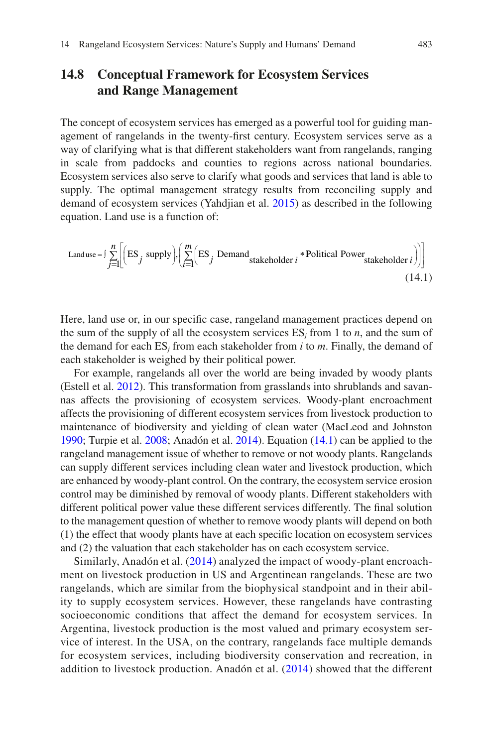# **14.8 Conceptual Framework for Ecosystem Services and Range Management**

The concept of ecosystem services has emerged as a powerful tool for guiding management of rangelands in the twenty-first century. Ecosystem services serve as a way of clarifying what is that different stakeholders want from rangelands, ranging in scale from paddocks and counties to regions across national boundaries. Ecosystem services also serve to clarify what goods and services that land is able to supply. The optimal management strategy results from reconciling supply and demand of ecosystem services (Yahdjian et al. [2015](#page-22-0)) as described in the following equation. Land use is a function of:

<span id="page-16-0"></span>Landuse = 
$$
\int_{j=1}^{n} \left[ \left( ES_j \text{ supply} \right) , \left( \sum_{i=1}^{m} \left( ES_j \text{ Demand}_{\text{stakeholder } i} * \text{Political Power}_{\text{stakeholder } i} \right) \right) \right]
$$
 (14.1)

Here, land use or, in our specific case, rangeland management practices depend on the sum of the supply of all the ecosystem services  $ES_j$  from 1 to *n*, and the sum of the demand for each ES*j* from each stakeholder from *i* to *m*. Finally, the demand of each stakeholder is weighed by their political power.

For example, rangelands all over the world are being invaded by woody plants (Estell et al. [2012](#page-20-3)). This transformation from grasslands into shrublands and savannas affects the provisioning of ecosystem services. Woody-plant encroachment affects the provisioning of different ecosystem services from livestock production to maintenance of biodiversity and yielding of clean water (MacLeod and Johnston [1990;](#page-20-20) Turpie et al. [2008](#page-21-20); Anadón et al. [2014](#page-19-17)). Equation [\(14.1](#page-16-0)) can be applied to the rangeland management issue of whether to remove or not woody plants. Rangelands can supply different services including clean water and livestock production, which are enhanced by woody-plant control. On the contrary, the ecosystem service erosion control may be diminished by removal of woody plants. Different stakeholders with different political power value these different services differently. The final solution to the management question of whether to remove woody plants will depend on both (1) the effect that woody plants have at each specific location on ecosystem services and (2) the valuation that each stakeholder has on each ecosystem service.

Similarly, Anadón et al. ([2014\)](#page-19-17) analyzed the impact of woody-plant encroachment on livestock production in US and Argentinean rangelands. These are two rangelands, which are similar from the biophysical standpoint and in their ability to supply ecosystem services. However, these rangelands have contrasting socioeconomic conditions that affect the demand for ecosystem services. In Argentina, livestock production is the most valued and primary ecosystem service of interest. In the USA, on the contrary, rangelands face multiple demands for ecosystem services, including biodiversity conservation and recreation, in addition to livestock production. Anadón et al. ([2014](#page-19-17)) showed that the different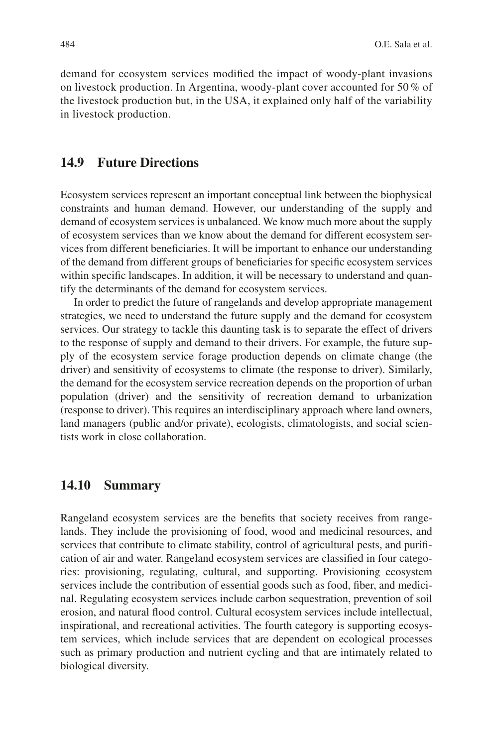demand for ecosystem services modified the impact of woody-plant invasions on livestock production. In Argentina, woody-plant cover accounted for 50 % of the livestock production but, in the USA, it explained only half of the variability in livestock production.

### **14.9 Future Directions**

Ecosystem services represent an important conceptual link between the biophysical constraints and human demand. However, our understanding of the supply and demand of ecosystem services is unbalanced. We know much more about the supply of ecosystem services than we know about the demand for different ecosystem services from different beneficiaries. It will be important to enhance our understanding of the demand from different groups of beneficiaries for specific ecosystem services within specific landscapes. In addition, it will be necessary to understand and quantify the determinants of the demand for ecosystem services.

In order to predict the future of rangelands and develop appropriate management strategies, we need to understand the future supply and the demand for ecosystem services. Our strategy to tackle this daunting task is to separate the effect of drivers to the response of supply and demand to their drivers. For example, the future supply of the ecosystem service forage production depends on climate change (the driver) and sensitivity of ecosystems to climate (the response to driver). Similarly, the demand for the ecosystem service recreation depends on the proportion of urban population (driver) and the sensitivity of recreation demand to urbanization (response to driver). This requires an interdisciplinary approach where land owners, land managers (public and/or private), ecologists, climatologists, and social scientists work in close collaboration.

#### **14.10 Summary**

Rangeland ecosystem services are the benefits that society receives from rangelands. They include the provisioning of food, wood and medicinal resources, and services that contribute to climate stability, control of agricultural pests, and purification of air and water. Rangeland ecosystem services are classified in four categories: provisioning, regulating, cultural, and supporting. Provisioning ecosystem services include the contribution of essential goods such as food, fiber, and medicinal. Regulating ecosystem services include carbon sequestration, prevention of soil erosion, and natural flood control. Cultural ecosystem services include intellectual, inspirational, and recreational activities. The fourth category is supporting ecosystem services, which include services that are dependent on ecological processes such as primary production and nutrient cycling and that are intimately related to biological diversity.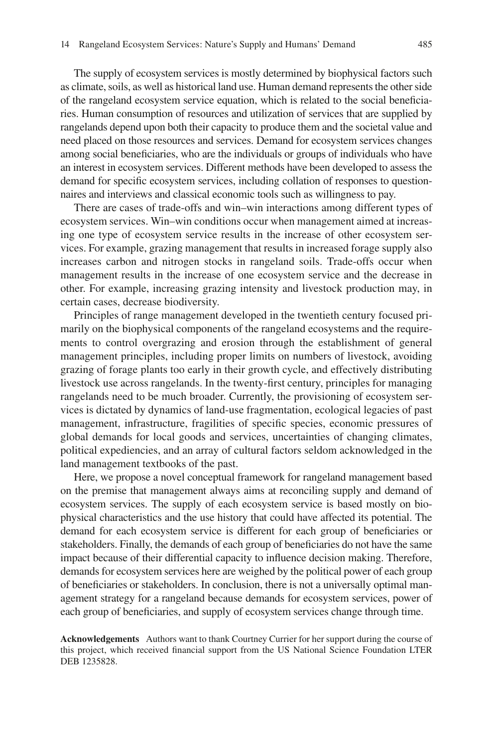The supply of ecosystem services is mostly determined by biophysical factors such as climate, soils, as well as historical land use. Human demand represents the other side of the rangeland ecosystem service equation, which is related to the social beneficiaries. Human consumption of resources and utilization of services that are supplied by rangelands depend upon both their capacity to produce them and the societal value and need placed on those resources and services. Demand for ecosystem services changes among social beneficiaries, who are the individuals or groups of individuals who have an interest in ecosystem services. Different methods have been developed to assess the demand for specific ecosystem services, including collation of responses to questionnaires and interviews and classical economic tools such as willingness to pay.

There are cases of trade-offs and win–win interactions among different types of ecosystem services. Win–win conditions occur when management aimed at increasing one type of ecosystem service results in the increase of other ecosystem services. For example, grazing management that results in increased forage supply also increases carbon and nitrogen stocks in rangeland soils. Trade-offs occur when management results in the increase of one ecosystem service and the decrease in other. For example, increasing grazing intensity and livestock production may, in certain cases, decrease biodiversity.

Principles of range management developed in the twentieth century focused primarily on the biophysical components of the rangeland ecosystems and the requirements to control overgrazing and erosion through the establishment of general management principles, including proper limits on numbers of livestock, avoiding grazing of forage plants too early in their growth cycle, and effectively distributing livestock use across rangelands. In the twenty-first century, principles for managing rangelands need to be much broader. Currently, the provisioning of ecosystem services is dictated by dynamics of land-use fragmentation, ecological legacies of past management, infrastructure, fragilities of specific species, economic pressures of global demands for local goods and services, uncertainties of changing climates, political expediencies, and an array of cultural factors seldom acknowledged in the land management textbooks of the past.

Here, we propose a novel conceptual framework for rangeland management based on the premise that management always aims at reconciling supply and demand of ecosystem services. The supply of each ecosystem service is based mostly on biophysical characteristics and the use history that could have affected its potential. The demand for each ecosystem service is different for each group of beneficiaries or stakeholders. Finally, the demands of each group of beneficiaries do not have the same impact because of their differential capacity to influence decision making. Therefore, demands for ecosystem services here are weighed by the political power of each group of beneficiaries or stakeholders. In conclusion, there is not a universally optimal management strategy for a rangeland because demands for ecosystem services, power of each group of beneficiaries, and supply of ecosystem services change through time.

**Acknowledgements** Authors want to thank Courtney Currier for her support during the course of this project, which received financial support from the US National Science Foundation LTER DEB 1235828.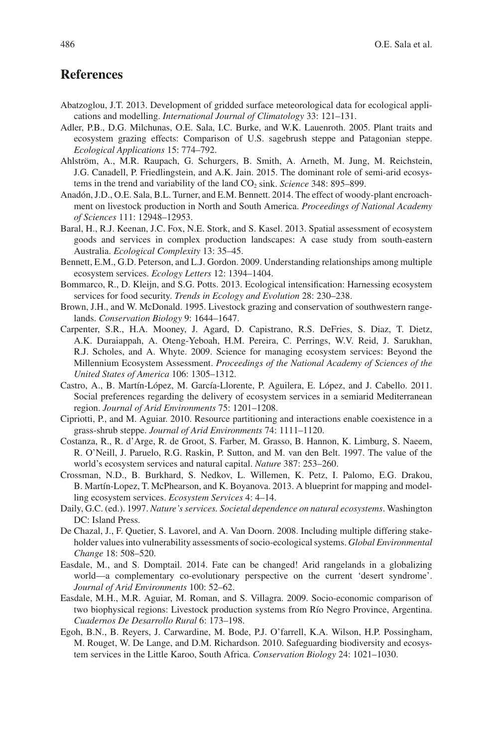### **References**

- <span id="page-19-10"></span>Abatzoglou, J.T. 2013. Development of gridded surface meteorological data for ecological applications and modelling. *International Journal of Climatology* 33: 121–131.
- <span id="page-19-2"></span>Adler, P.B., D.G. Milchunas, O.E. Sala, I.C. Burke, and W.K. Lauenroth. 2005. Plant traits and ecosystem grazing effects: Comparison of U.S. sagebrush steppe and Patagonian steppe. *Ecological Applications* 15: 774–792.
- <span id="page-19-3"></span>Ahlström, A., M.R. Raupach, G. Schurgers, B. Smith, A. Arneth, M. Jung, M. Reichstein, J.G. Canadell, P. Friedlingstein, and A.K. Jain. 2015. The dominant role of semi-arid ecosystems in the trend and variability of the land CO<sub>2</sub> sink. *Science* 348: 895–899.
- <span id="page-19-17"></span>Anadón, J.D., O.E. Sala, B.L. Turner, and E.M. Bennett. 2014. The effect of woody-plant encroachment on livestock production in North and South America. *Proceedings of National Academy of Sciences* 111: 12948–12953.
- <span id="page-19-14"></span>Baral, H., R.J. Keenan, J.C. Fox, N.E. Stork, and S. Kasel. 2013. Spatial assessment of ecosystem goods and services in complex production landscapes: A case study from south-eastern Australia. *Ecological Complexity* 13: 35–45.
- <span id="page-19-8"></span>Bennett, E.M., G.D. Peterson, and L.J. Gordon. 2009. Understanding relationships among multiple ecosystem services. *Ecology Letters* 12: 1394–1404.
- <span id="page-19-11"></span>Bommarco, R., D. Kleijn, and S.G. Potts. 2013. Ecological intensification: Harnessing ecosystem services for food security. *Trends in Ecology and Evolution* 28: 230–238.
- <span id="page-19-6"></span>Brown, J.H., and W. McDonald. 1995. Livestock grazing and conservation of southwestern rangelands. *Conservation Biology* 9: 1644–1647.
- <span id="page-19-4"></span>Carpenter, S.R., H.A. Mooney, J. Agard, D. Capistrano, R.S. DeFries, S. Diaz, T. Dietz, A.K. Duraiappah, A. Oteng-Yeboah, H.M. Pereira, C. Perrings, W.V. Reid, J. Sarukhan, R.J. Scholes, and A. Whyte. 2009. Science for managing ecosystem services: Beyond the Millennium Ecosystem Assessment. *Proceedings of the National Academy of Sciences of the United States of America* 106: 1305–1312.
- <span id="page-19-5"></span>Castro, A., B. Martín-López, M. García-Llorente, P. Aguilera, E. López, and J. Cabello. 2011. Social preferences regarding the delivery of ecosystem services in a semiarid Mediterranean region. *Journal of Arid Environments* 75: 1201–1208.
- <span id="page-19-9"></span>Cipriotti, P., and M. Aguiar. 2010. Resource partitioning and interactions enable coexistence in a grass-shrub steppe. *Journal of Arid Environments* 74: 1111–1120.
- <span id="page-19-1"></span>Costanza, R., R. d'Arge, R. de Groot, S. Farber, M. Grasso, B. Hannon, K. Limburg, S. Naeem, R. O'Neill, J. Paruelo, R.G. Raskin, P. Sutton, and M. van den Belt. 1997. The value of the world's ecosystem services and natural capital. *Nature* 387: 253–260.
- <span id="page-19-13"></span>Crossman, N.D., B. Burkhard, S. Nedkov, L. Willemen, K. Petz, I. Palomo, E.G. Drakou, B. Martín-Lopez, T. McPhearson, and K. Boyanova. 2013. A blueprint for mapping and modelling ecosystem services. *Ecosystem Services* 4: 4–14.
- <span id="page-19-0"></span>Daily, G.C. (ed.). 1997. *Nature's services. Societal dependence on natural ecosystems*. Washington DC: Island Press.
- <span id="page-19-7"></span>De Chazal, J., F. Quetier, S. Lavorel, and A. Van Doorn. 2008. Including multiple differing stakeholder values into vulnerability assessments of socio-ecological systems. *Global Environmental Change* 18: 508–520.
- <span id="page-19-16"></span>Easdale, M., and S. Domptail. 2014. Fate can be changed! Arid rangelands in a globalizing world—a complementary co-evolutionary perspective on the current 'desert syndrome'. *Journal of Arid Environments* 100: 52–62.
- <span id="page-19-15"></span>Easdale, M.H., M.R. Aguiar, M. Roman, and S. Villagra. 2009. Socio-economic comparison of two biophysical regions: Livestock production systems from Río Negro Province, Argentina. *Cuadernos De Desarrollo Rural* 6: 173–198.
- <span id="page-19-12"></span>Egoh, B.N., B. Reyers, J. Carwardine, M. Bode, P.J. O'farrell, K.A. Wilson, H.P. Possingham, M. Rouget, W. De Lange, and D.M. Richardson. 2010. Safeguarding biodiversity and ecosystem services in the Little Karoo, South Africa. *Conservation Biology* 24: 1021–1030.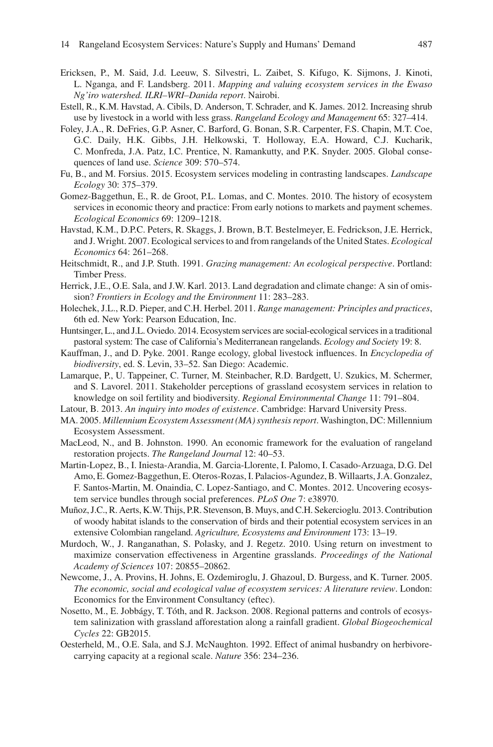- <span id="page-20-16"></span>Ericksen, P., M. Said, J.d. Leeuw, S. Silvestri, L. Zaibet, S. Kifugo, K. Sijmons, J. Kinoti, L. Nganga, and F. Landsberg. 2011. *Mapping and valuing ecosystem services in the Ewaso Ng'iro watershed. ILRI–WRI–Danida report*. Nairobi.
- <span id="page-20-3"></span>Estell, R., K.M. Havstad, A. Cibils, D. Anderson, T. Schrader, and K. James. 2012. Increasing shrub use by livestock in a world with less grass. *Rangeland Ecology and Management* 65: 327–414.
- <span id="page-20-1"></span>Foley, J.A., R. DeFries, G.P. Asner, C. Barford, G. Bonan, S.R. Carpenter, F.S. Chapin, M.T. Coe, G.C. Daily, H.K. Gibbs, J.H. Helkowski, T. Holloway, E.A. Howard, C.J. Kucharik, C. Monfreda, J.A. Patz, I.C. Prentice, N. Ramankutty, and P.K. Snyder. 2005. Global consequences of land use. *Science* 309: 570–574.
- <span id="page-20-17"></span>Fu, B., and M. Forsius. 2015. Ecosystem services modeling in contrasting landscapes. *Landscape Ecology* 30: 375–379.
- <span id="page-20-4"></span>Gomez-Baggethun, E., R. de Groot, P.L. Lomas, and C. Montes. 2010. The history of ecosystem services in economic theory and practice: From early notions to markets and payment schemes. *Ecological Economics* 69: 1209–1218.
- <span id="page-20-8"></span>Havstad, K.M., D.P.C. Peters, R. Skaggs, J. Brown, B.T. Bestelmeyer, E. Fedrickson, J.E. Herrick, and J. Wright. 2007. Ecological services to and from rangelands of the United States. *Ecological Economics* 64: 261–268.
- <span id="page-20-12"></span>Heitschmidt, R., and J.P. Stuth. 1991. *Grazing management: An ecological perspective*. Portland: Timber Press.
- <span id="page-20-6"></span>Herrick, J.E., O.E. Sala, and J.W. Karl. 2013. Land degradation and climate change: A sin of omission? *Frontiers in Ecology and the Environment* 11: 283–283.
- <span id="page-20-13"></span>Holechek, J.L., R.D. Pieper, and C.H. Herbel. 2011. *Range management: Principles and practices*, 6th ed. New York: Pearson Education, Inc.
- <span id="page-20-14"></span>Huntsinger, L., and J.L. Oviedo. 2014. Ecosystem services are social-ecological services in a traditional pastoral system: The case of California's Mediterranean rangelands. *Ecology and Society* 19: 8.
- <span id="page-20-2"></span>Kauffman, J., and D. Pyke. 2001. Range ecology, global livestock influences. In *Encyclopedia of biodiversity*, ed. S. Levin, 33–52. San Diego: Academic.
- <span id="page-20-5"></span>Lamarque, P., U. Tappeiner, C. Turner, M. Steinbacher, R.D. Bardgett, U. Szukics, M. Schermer, and S. Lavorel. 2011. Stakeholder perceptions of grassland ecosystem services in relation to knowledge on soil fertility and biodiversity. *Regional Environmental Change* 11: 791–804.
- <span id="page-20-18"></span>Latour, B. 2013. *An inquiry into modes of existence*. Cambridge: Harvard University Press.
- <span id="page-20-0"></span>MA. 2005. *Millennium Ecosystem Assessment (MA) synthesis report*. Washington, DC: Millennium Ecosystem Assessment.
- <span id="page-20-20"></span>MacLeod, N., and B. Johnston. 1990. An economic framework for the evaluation of rangeland restoration projects. *The Rangeland Journal* 12: 40–53.
- <span id="page-20-7"></span>Martin-Lopez, B., I. Iniesta-Arandia, M. Garcia-Llorente, I. Palomo, I. Casado-Arzuaga, D.G. Del Amo, E. Gomez-Baggethun, E. Oteros-Rozas, I. Palacios-Agundez, B. Willaarts, J.A. Gonzalez, F. Santos-Martin, M. Onaindia, C. Lopez-Santiago, and C. Montes. 2012. Uncovering ecosystem service bundles through social preferences. *PLoS One* 7: e38970.
- <span id="page-20-15"></span>Muñoz, J.C., R. Aerts, K.W. Thijs, P.R. Stevenson, B. Muys, and C.H. Sekercioglu. 2013. Contribution of woody habitat islands to the conservation of birds and their potential ecosystem services in an extensive Colombian rangeland. *Agriculture, Ecosystems and Environment* 173: 13–19.
- <span id="page-20-19"></span>Murdoch, W., J. Ranganathan, S. Polasky, and J. Regetz. 2010. Using return on investment to maximize conservation effectiveness in Argentine grasslands. *Proceedings of the National Academy of Sciences* 107: 20855–20862.
- <span id="page-20-10"></span>Newcome, J., A. Provins, H. Johns, E. Ozdemiroglu, J. Ghazoul, D. Burgess, and K. Turner. 2005. *The economic, social and ecological value of ecosystem services: A literature review*. London: Economics for the Environment Consultancy (eftec).
- <span id="page-20-11"></span>Nosetto, M., E. Jobbágy, T. Tóth, and R. Jackson. 2008. Regional patterns and controls of ecosystem salinization with grassland afforestation along a rainfall gradient. *Global Biogeochemical Cycles* 22: GB2015.
- <span id="page-20-9"></span>Oesterheld, M., O.E. Sala, and S.J. McNaughton. 1992. Effect of animal husbandry on herbivorecarrying capacity at a regional scale. *Nature* 356: 234–236.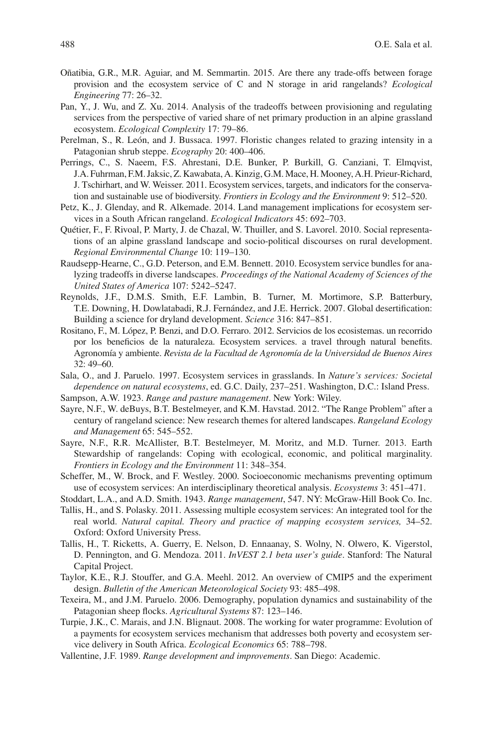- <span id="page-21-10"></span>Oñatibia, G.R., M.R. Aguiar, and M. Semmartin. 2015. Are there any trade-offs between forage provision and the ecosystem service of C and N storage in arid rangelands? *Ecological Engineering* 77: 26–32.
- <span id="page-21-19"></span>Pan, Y., J. Wu, and Z. Xu. 2014. Analysis of the tradeoffs between provisioning and regulating services from the perspective of varied share of net primary production in an alpine grassland ecosystem. *Ecological Complexity* 17: 79–86.
- <span id="page-21-11"></span>Perelman, S., R. León, and J. Bussaca. 1997. Floristic changes related to grazing intensity in a Patagonian shrub steppe. *Ecography* 20: 400–406.
- <span id="page-21-4"></span>Perrings, C., S. Naeem, F.S. Ahrestani, D.E. Bunker, P. Burkill, G. Canziani, T. Elmqvist, J.A. Fuhrman, F.M.Jaksic, Z. Kawabata, A. Kinzig, G.M.Mace, H.Mooney, A.H. Prieur-Richard, J. Tschirhart, and W. Weisser. 2011. Ecosystem services, targets, and indicators for the conservation and sustainable use of biodiversity. *Frontiers in Ecology and the Environment* 9: 512–520.
- <span id="page-21-16"></span>Petz, K., J. Glenday, and R. Alkemade. 2014. Land management implications for ecosystem services in a South African rangeland. *Ecological Indicators* 45: 692–703.
- <span id="page-21-9"></span>Quétier, F., F. Rivoal, P. Marty, J. de Chazal, W. Thuiller, and S. Lavorel. 2010. Social representations of an alpine grassland landscape and socio-political discourses on rural development. *Regional Environmental Change* 10: 119–130.
- <span id="page-21-6"></span>Raudsepp-Hearne, C., G.D. Peterson, and E.M. Bennett. 2010. Ecosystem service bundles for analyzing tradeoffs in diverse landscapes. *Proceedings of the National Academy of Sciences of the United States of America* 107: 5242–5247.
- <span id="page-21-0"></span>Reynolds, J.F., D.M.S. Smith, E.F. Lambin, B. Turner, M. Mortimore, S.P. Batterbury, T.E. Downing, H. Dowlatabadi, R.J. Fernández, and J.E. Herrick. 2007. Global desertification: Building a science for dryland development. *Science* 316: 847–851.
- <span id="page-21-2"></span>Rositano, F., M. López, P. Benzi, and D.O. Ferraro. 2012. Servicios de los ecosistemas. un recorrido por los beneficios de la naturaleza. Ecosystem services. a travel through natural benefits. Agronomía y ambiente. *Revista de la Facultad de Agronomía de la Universidad de Buenos Aires*  32: 49–60.
- <span id="page-21-1"></span>Sala, O., and J. Paruelo. 1997. Ecosystem services in grasslands. In *Nature's services: Societal dependence on natural ecosystems*, ed. G.C. Daily, 237–251. Washington, D.C.: Island Press. Sampson, A.W. 1923. *Range and pasture management*. New York: Wiley.
- <span id="page-21-13"></span><span id="page-21-12"></span>Sayre, N.F., W. deBuys, B.T. Bestelmeyer, and K.M. Havstad. 2012. "The Range Problem" after a century of rangeland science: New research themes for altered landscapes. *Rangeland Ecology and Management* 65: 545–552.
- <span id="page-21-17"></span>Sayre, N.F., R.R. McAllister, B.T. Bestelmeyer, M. Moritz, and M.D. Turner. 2013. Earth Stewardship of rangelands: Coping with ecological, economic, and political marginality. *Frontiers in Ecology and the Environment* 11: 348–354.
- <span id="page-21-7"></span>Scheffer, M., W. Brock, and F. Westley. 2000. Socioeconomic mechanisms preventing optimum use of ecosystem services: An interdisciplinary theoretical analysis. *Ecosystems* 3: 451–471.
- <span id="page-21-14"></span>Stoddart, L.A., and A.D. Smith. 1943. *Range management*, 547. NY: McGraw-Hill Book Co. Inc.
- <span id="page-21-3"></span>Tallis, H., and S. Polasky. 2011. Assessing multiple ecosystem services: An integrated tool for the real world. *Natural capital. Theory and practice of mapping ecosystem services,* 34–52. Oxford: Oxford University Press.
- <span id="page-21-8"></span>Tallis, H., T. Ricketts, A. Guerry, E. Nelson, D. Ennaanay, S. Wolny, N. Olwero, K. Vigerstol, D. Pennington, and G. Mendoza. 2011. *InVEST 2.1 beta user's guide*. Stanford: The Natural Capital Project.
- <span id="page-21-18"></span>Taylor, K.E., R.J. Stouffer, and G.A. Meehl. 2012. An overview of CMIP5 and the experiment design. *Bulletin of the American Meteorological Society* 93: 485–498.
- <span id="page-21-5"></span>Texeira, M., and J.M. Paruelo. 2006. Demography, population dynamics and sustainability of the Patagonian sheep flocks. *Agricultural Systems* 87: 123–146.
- <span id="page-21-20"></span>Turpie, J.K., C. Marais, and J.N. Blignaut. 2008. The working for water programme: Evolution of a payments for ecosystem services mechanism that addresses both poverty and ecosystem service delivery in South Africa. *Ecological Economics* 65: 788–798.
- <span id="page-21-15"></span>Vallentine, J.F. 1989. *Range development and improvements*. San Diego: Academic.